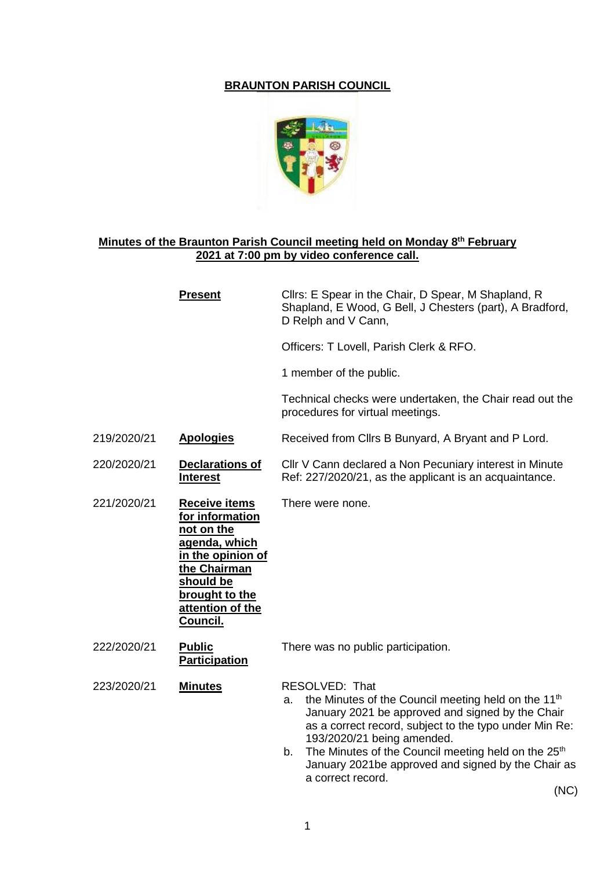## **BRAUNTON PARISH COUNCIL**



## **Minutes of the Braunton Parish Council meeting held on Monday 8 th February 2021 at 7:00 pm by video conference call.**

|             | <b>Present</b>                                                                                                                                                             | Cllrs: E Spear in the Chair, D Spear, M Shapland, R<br>Shapland, E Wood, G Bell, J Chesters (part), A Bradford,<br>D Relph and V Cann,                                                                                                                                                                                                                                                  |
|-------------|----------------------------------------------------------------------------------------------------------------------------------------------------------------------------|-----------------------------------------------------------------------------------------------------------------------------------------------------------------------------------------------------------------------------------------------------------------------------------------------------------------------------------------------------------------------------------------|
|             |                                                                                                                                                                            | Officers: T Lovell, Parish Clerk & RFO.                                                                                                                                                                                                                                                                                                                                                 |
|             |                                                                                                                                                                            | 1 member of the public.                                                                                                                                                                                                                                                                                                                                                                 |
|             |                                                                                                                                                                            | Technical checks were undertaken, the Chair read out the<br>procedures for virtual meetings.                                                                                                                                                                                                                                                                                            |
| 219/2020/21 | <b>Apologies</b>                                                                                                                                                           | Received from Cllrs B Bunyard, A Bryant and P Lord.                                                                                                                                                                                                                                                                                                                                     |
| 220/2020/21 | <b>Declarations of</b><br><b>Interest</b>                                                                                                                                  | Cllr V Cann declared a Non Pecuniary interest in Minute<br>Ref: 227/2020/21, as the applicant is an acquaintance.                                                                                                                                                                                                                                                                       |
| 221/2020/21 | <b>Receive items</b><br>for information<br>not on the<br>agenda, which<br>in the opinion of<br>the Chairman<br>should be<br>brought to the<br>attention of the<br>Council. | There were none.                                                                                                                                                                                                                                                                                                                                                                        |
| 222/2020/21 | <b>Public</b><br><b>Participation</b>                                                                                                                                      | There was no public participation.                                                                                                                                                                                                                                                                                                                                                      |
| 223/2020/21 | <b>Minutes</b>                                                                                                                                                             | RESOLVED: That<br>the Minutes of the Council meeting held on the 11 <sup>th</sup><br>a.<br>January 2021 be approved and signed by the Chair<br>as a correct record, subject to the typo under Min Re:<br>193/2020/21 being amended.<br>The Minutes of the Council meeting held on the 25 <sup>th</sup><br>b.<br>January 2021be approved and signed by the Chair as<br>a correct record. |

(NC)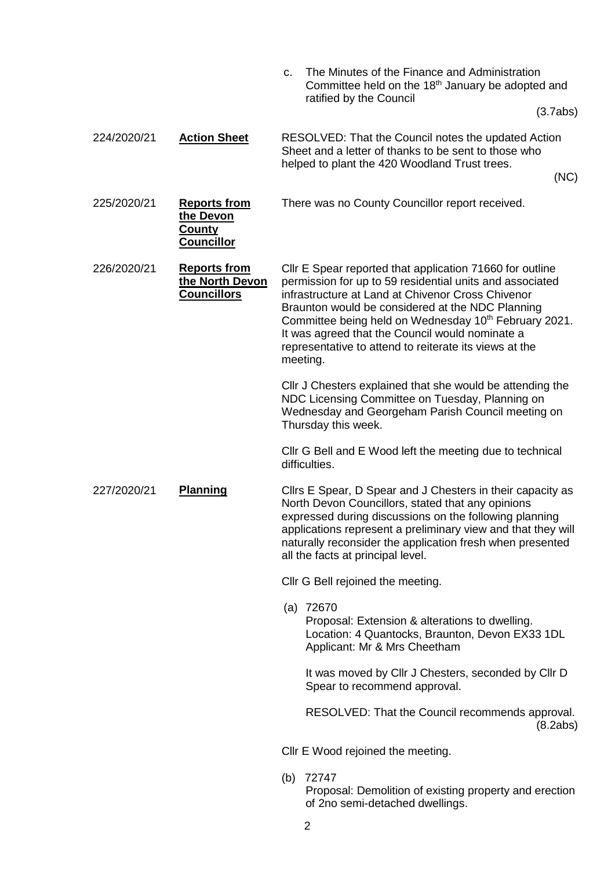|             |                                                                        | The Minutes of the Finance and Administration<br>C.<br>Committee held on the 18 <sup>th</sup> January be adopted and<br>ratified by the Council                                                                                                                                                                                                                                                                             |
|-------------|------------------------------------------------------------------------|-----------------------------------------------------------------------------------------------------------------------------------------------------------------------------------------------------------------------------------------------------------------------------------------------------------------------------------------------------------------------------------------------------------------------------|
|             |                                                                        | (3.7abs)                                                                                                                                                                                                                                                                                                                                                                                                                    |
| 224/2020/21 | <b>Action Sheet</b>                                                    | RESOLVED: That the Council notes the updated Action<br>Sheet and a letter of thanks to be sent to those who<br>helped to plant the 420 Woodland Trust trees.<br>(NC)                                                                                                                                                                                                                                                        |
| 225/2020/21 | <b>Reports from</b><br>the Devon<br><u>County</u><br><b>Councillor</b> | There was no County Councillor report received.                                                                                                                                                                                                                                                                                                                                                                             |
| 226/2020/21 | <b>Reports from</b><br>the North Devon<br><b>Councillors</b>           | Cllr E Spear reported that application 71660 for outline<br>permission for up to 59 residential units and associated<br>infrastructure at Land at Chivenor Cross Chivenor<br>Braunton would be considered at the NDC Planning<br>Committee being held on Wednesday 10 <sup>th</sup> February 2021.<br>It was agreed that the Council would nominate a<br>representative to attend to reiterate its views at the<br>meeting. |
|             |                                                                        | Cllr J Chesters explained that she would be attending the<br>NDC Licensing Committee on Tuesday, Planning on<br>Wednesday and Georgeham Parish Council meeting on<br>Thursday this week.                                                                                                                                                                                                                                    |
|             |                                                                        | Cllr G Bell and E Wood left the meeting due to technical<br>difficulties.                                                                                                                                                                                                                                                                                                                                                   |
| 227/2020/21 | <b>Planning</b>                                                        | Cllrs E Spear, D Spear and J Chesters in their capacity as<br>North Devon Councillors, stated that any opinions<br>expressed during discussions on the following planning<br>applications represent a preliminary view and that they will<br>naturally reconsider the application fresh when presented<br>all the facts at principal level.                                                                                 |
|             |                                                                        | Cllr G Bell rejoined the meeting.                                                                                                                                                                                                                                                                                                                                                                                           |
|             |                                                                        | $(a)$ 72670<br>Proposal: Extension & alterations to dwelling.<br>Location: 4 Quantocks, Braunton, Devon EX33 1DL<br>Applicant: Mr & Mrs Cheetham                                                                                                                                                                                                                                                                            |
|             |                                                                        | It was moved by Cllr J Chesters, seconded by Cllr D<br>Spear to recommend approval.                                                                                                                                                                                                                                                                                                                                         |
|             |                                                                        | RESOLVED: That the Council recommends approval.<br>(8.2abs)                                                                                                                                                                                                                                                                                                                                                                 |
|             |                                                                        | CIIr E Wood rejoined the meeting.                                                                                                                                                                                                                                                                                                                                                                                           |
|             |                                                                        | (b) 72747<br>Proposal: Demolition of existing proporty and erection                                                                                                                                                                                                                                                                                                                                                         |

Proposal: Demolition of existing property and erection of 2no semi-detached dwellings.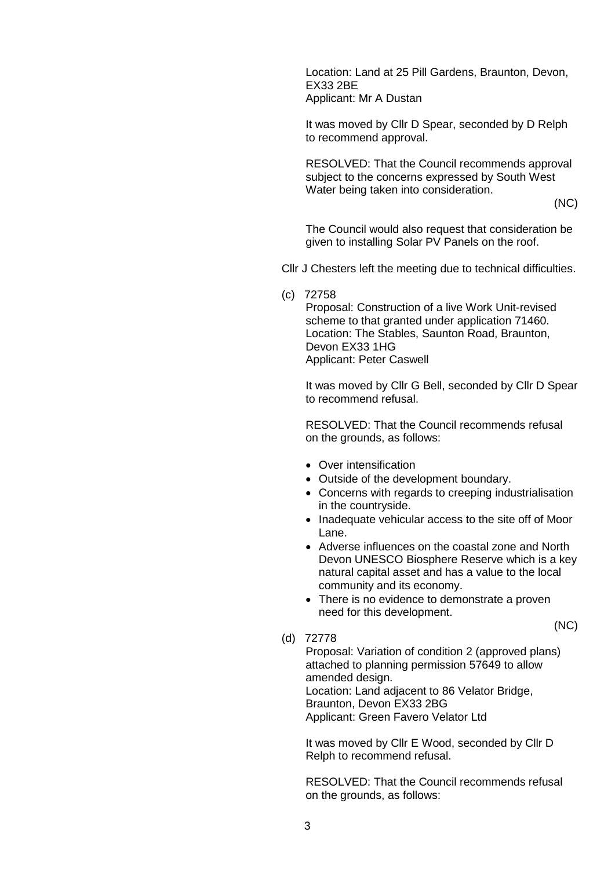Location: Land at 25 Pill Gardens, Braunton, Devon, EX33 2BE Applicant: Mr A Dustan

It was moved by Cllr D Spear, seconded by D Relph to recommend approval.

RESOLVED: That the Council recommends approval subject to the concerns expressed by South West Water being taken into consideration.

(NC)

(NC)

The Council would also request that consideration be given to installing Solar PV Panels on the roof.

Cllr J Chesters left the meeting due to technical difficulties.

(c) 72758

Proposal: Construction of a live Work Unit-revised scheme to that granted under application 71460. Location: The Stables, Saunton Road, Braunton, Devon EX33 1HG Applicant: Peter Caswell

It was moved by Cllr G Bell, seconded by Cllr D Spear to recommend refusal.

RESOLVED: That the Council recommends refusal on the grounds, as follows:

- Over intensification
- Outside of the development boundary.
- Concerns with regards to creeping industrialisation in the countryside.
- Inadequate vehicular access to the site off of Moor Lane.
- Adverse influences on the coastal zone and North Devon UNESCO Biosphere Reserve which is a key natural capital asset and has a value to the local community and its economy.
- There is no evidence to demonstrate a proven need for this development.
- (d) 72778

Proposal: Variation of condition 2 (approved plans) attached to planning permission 57649 to allow amended design. Location: Land adjacent to 86 Velator Bridge, Braunton, Devon EX33 2BG Applicant: Green Favero Velator Ltd

It was moved by Cllr E Wood, seconded by Cllr D Relph to recommend refusal.

RESOLVED: That the Council recommends refusal on the grounds, as follows: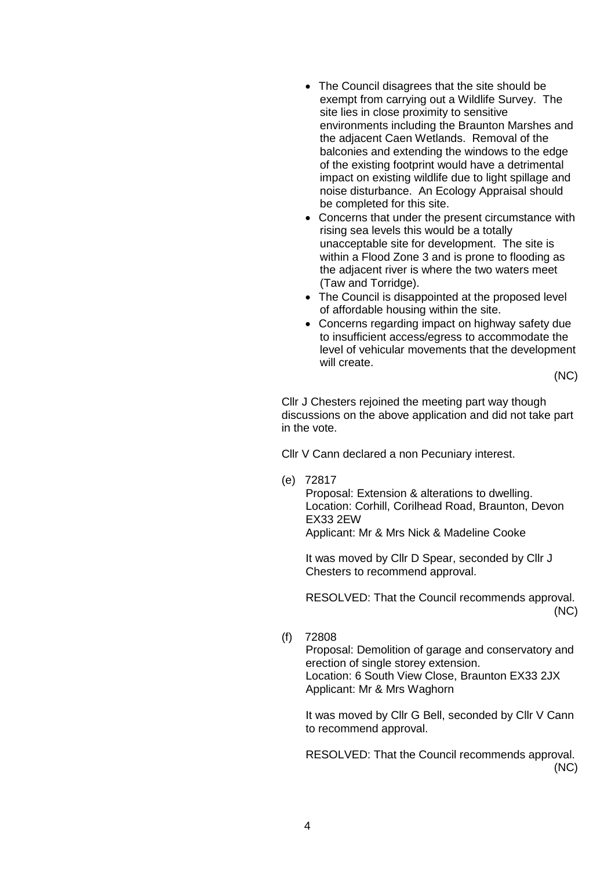- The Council disagrees that the site should be exempt from carrying out a Wildlife Survey. The site lies in close proximity to sensitive environments including the Braunton Marshes and the adjacent Caen Wetlands. Removal of the balconies and extending the windows to the edge of the existing footprint would have a detrimental impact on existing wildlife due to light spillage and noise disturbance. An Ecology Appraisal should be completed for this site.
- Concerns that under the present circumstance with rising sea levels this would be a totally unacceptable site for development. The site is within a Flood Zone 3 and is prone to flooding as the adjacent river is where the two waters meet (Taw and Torridge).
- The Council is disappointed at the proposed level of affordable housing within the site.
- Concerns regarding impact on highway safety due to insufficient access/egress to accommodate the level of vehicular movements that the development will create.

(NC)

Cllr J Chesters rejoined the meeting part way though discussions on the above application and did not take part in the vote.

Cllr V Cann declared a non Pecuniary interest.

(e) 72817

Proposal: Extension & alterations to dwelling. Location: Corhill, Corilhead Road, Braunton, Devon EX33 2EW Applicant: Mr & Mrs Nick & Madeline Cooke

It was moved by Cllr D Spear, seconded by Cllr J Chesters to recommend approval.

RESOLVED: That the Council recommends approval. (NC)

(f) 72808

Proposal: Demolition of garage and conservatory and erection of single storey extension. Location: 6 South View Close, Braunton EX33 2JX Applicant: Mr & Mrs Waghorn

It was moved by Cllr G Bell, seconded by Cllr V Cann to recommend approval.

RESOLVED: That the Council recommends approval. (NC)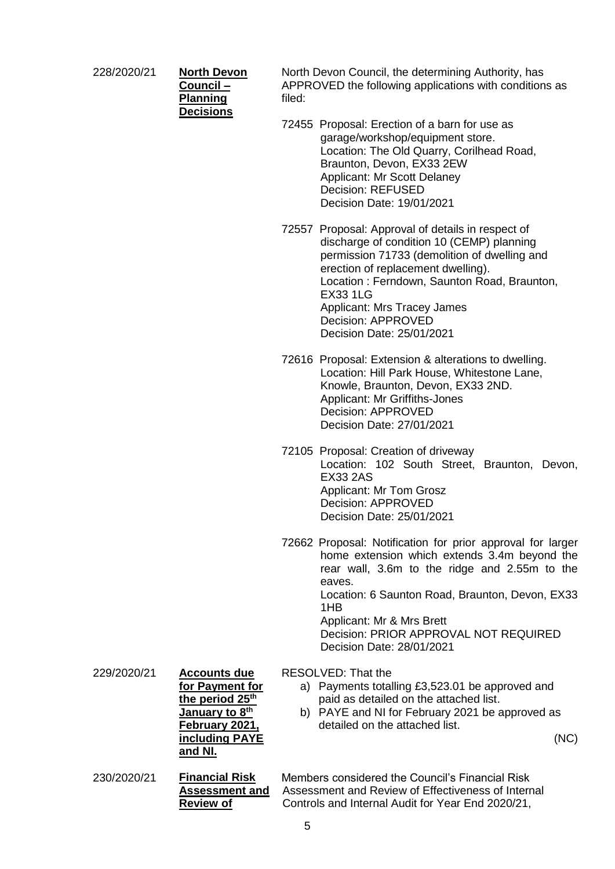228/2020/21 **North Devon** 

| North Devon      |  |  |  |  |  |
|------------------|--|--|--|--|--|
| Council –        |  |  |  |  |  |
| <b>Planning</b>  |  |  |  |  |  |
| <b>Decisions</b> |  |  |  |  |  |
|                  |  |  |  |  |  |

North Devon Council, the determining Authority, has APPROVED the following applications with conditions as filed:

72455 Proposal: Erection of a barn for use as garage/workshop/equipment store. Location: The Old Quarry, Corilhead Road, Braunton, Devon, EX33 2EW Applicant: Mr Scott Delaney Decision: REFUSED Decision Date: 19/01/2021

72557 Proposal: Approval of details in respect of discharge of condition 10 (CEMP) planning permission 71733 (demolition of dwelling and erection of replacement dwelling). Location : Ferndown, Saunton Road, Braunton, EX33 1LG Applicant: Mrs Tracey James Decision: APPROVED Decision Date: 25/01/2021

- 72616 Proposal: Extension & alterations to dwelling. Location: Hill Park House, Whitestone Lane, Knowle, Braunton, Devon, EX33 2ND. Applicant: Mr Griffiths-Jones Decision: APPROVED Decision Date: 27/01/2021
- 72105 Proposal: Creation of driveway Location: 102 South Street, Braunton, Devon, EX33 2AS Applicant: Mr Tom Grosz Decision: APPROVED Decision Date: 25/01/2021
- 72662 Proposal: Notification for prior approval for larger home extension which extends 3.4m beyond the rear wall, 3.6m to the ridge and 2.55m to the eaves. Location: 6 Saunton Road, Braunton, Devon, EX33 1HB Applicant: Mr & Mrs Brett Decision: PRIOR APPROVAL NOT REQUIRED

Decision Date: 28/01/2021

RESOLVED: That the

- a) Payments totalling £3,523.01 be approved and paid as detailed on the attached list.
- b) PAYE and NI for February 2021 be approved as detailed on the attached list.

(NC)

230/2020/21 **Financial Risk Assessment and Review of** 

229/2020/21 **Accounts due** 

Members considered the Council's Financial Risk Assessment and Review of Effectiveness of Internal Controls and Internal Audit for Year End 2020/21,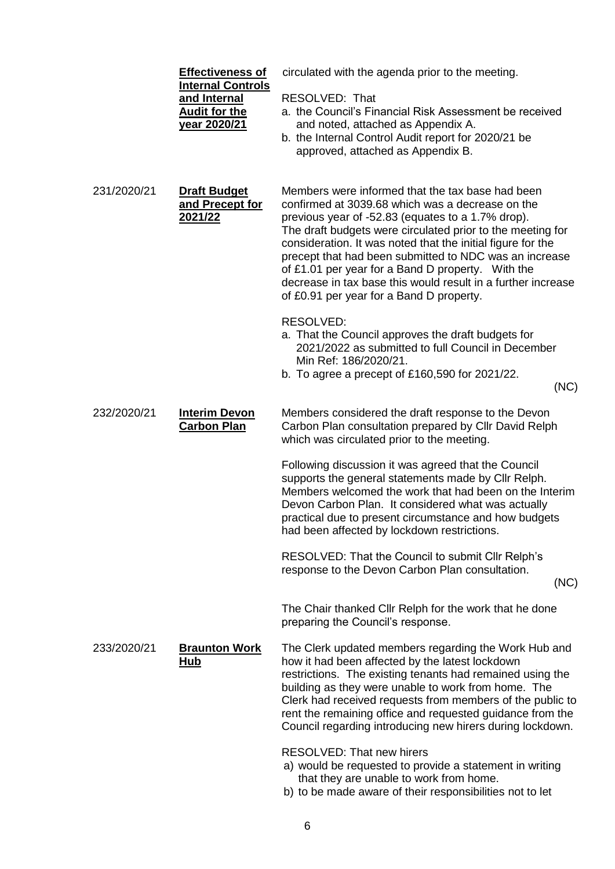|             | <b>Effectiveness of</b><br><b>Internal Controls</b><br>and Internal<br><b>Audit for the</b><br><u>year 2020/21</u> | circulated with the agenda prior to the meeting.<br>RESOLVED: That<br>a. the Council's Financial Risk Assessment be received<br>and noted, attached as Appendix A.<br>b. the Internal Control Audit report for 2020/21 be<br>approved, attached as Appendix B.                                                                                                                                                                                                                                                    |
|-------------|--------------------------------------------------------------------------------------------------------------------|-------------------------------------------------------------------------------------------------------------------------------------------------------------------------------------------------------------------------------------------------------------------------------------------------------------------------------------------------------------------------------------------------------------------------------------------------------------------------------------------------------------------|
| 231/2020/21 | <b>Draft Budget</b><br>and Precept for<br>2021/22                                                                  | Members were informed that the tax base had been<br>confirmed at 3039.68 which was a decrease on the<br>previous year of -52.83 (equates to a 1.7% drop).<br>The draft budgets were circulated prior to the meeting for<br>consideration. It was noted that the initial figure for the<br>precept that had been submitted to NDC was an increase<br>of £1.01 per year for a Band D property. With the<br>decrease in tax base this would result in a further increase<br>of £0.91 per year for a Band D property. |
|             |                                                                                                                    | RESOLVED:<br>a. That the Council approves the draft budgets for<br>2021/2022 as submitted to full Council in December<br>Min Ref: 186/2020/21.<br>b. To agree a precept of £160,590 for 2021/22.<br>(NC)                                                                                                                                                                                                                                                                                                          |
| 232/2020/21 | <b>Interim Devon</b><br><b>Carbon Plan</b>                                                                         | Members considered the draft response to the Devon<br>Carbon Plan consultation prepared by Cllr David Relph<br>which was circulated prior to the meeting.                                                                                                                                                                                                                                                                                                                                                         |
|             |                                                                                                                    | Following discussion it was agreed that the Council<br>supports the general statements made by Cllr Relph.<br>Members welcomed the work that had been on the Interim<br>Devon Carbon Plan. It considered what was actually<br>practical due to present circumstance and how budgets<br>had been affected by lockdown restrictions.                                                                                                                                                                                |
|             |                                                                                                                    | RESOLVED: That the Council to submit Cllr Relph's<br>response to the Devon Carbon Plan consultation.<br>(NC)                                                                                                                                                                                                                                                                                                                                                                                                      |
|             |                                                                                                                    | The Chair thanked Cllr Relph for the work that he done<br>preparing the Council's response.                                                                                                                                                                                                                                                                                                                                                                                                                       |
| 233/2020/21 | <b>Braunton Work</b><br><u>Hub</u>                                                                                 | The Clerk updated members regarding the Work Hub and<br>how it had been affected by the latest lockdown<br>restrictions. The existing tenants had remained using the<br>building as they were unable to work from home. The<br>Clerk had received requests from members of the public to<br>rent the remaining office and requested guidance from the<br>Council regarding introducing new hirers during lockdown.                                                                                                |
|             |                                                                                                                    | <b>RESOLVED: That new hirers</b><br>a) would be requested to provide a statement in writing<br>that they are unable to work from home.<br>b) to be made aware of their responsibilities not to let                                                                                                                                                                                                                                                                                                                |